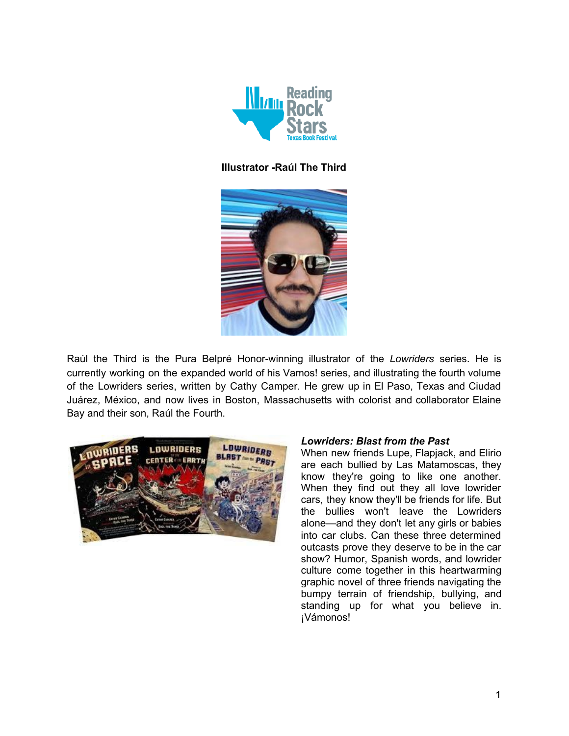

### **Illustrator -Raúl The Third**



Raúl the Third is the Pura Belpré Honor-winning illustrator of the *Lowriders* series. He is currently working on the expanded world of his Vamos! series, and illustrating the fourth volume of the Lowriders series, written by Cathy Camper. He grew up in El Paso, Texas and Ciudad Juárez, México, and now lives in Boston, Massachusetts with colorist and collaborator Elaine Bay and their son, Raúl the Fourth.



#### *Lowriders: Blast from the Past*

When new friends Lupe, Flapjack, and Elirio are each bullied by Las Matamoscas, they know they're going to like one another. When they find out they all love lowrider cars, they know they'll be friends for life. But the bullies won't leave the Lowriders alone—and they don't let any girls or babies into car clubs. Can these three determined outcasts prove they deserve to be in the car show? Humor, Spanish words, and lowrider culture come together in this heartwarming graphic novel of three friends navigating the bumpy terrain of friendship, bullying, and standing up for what you believe in. ¡Vámonos!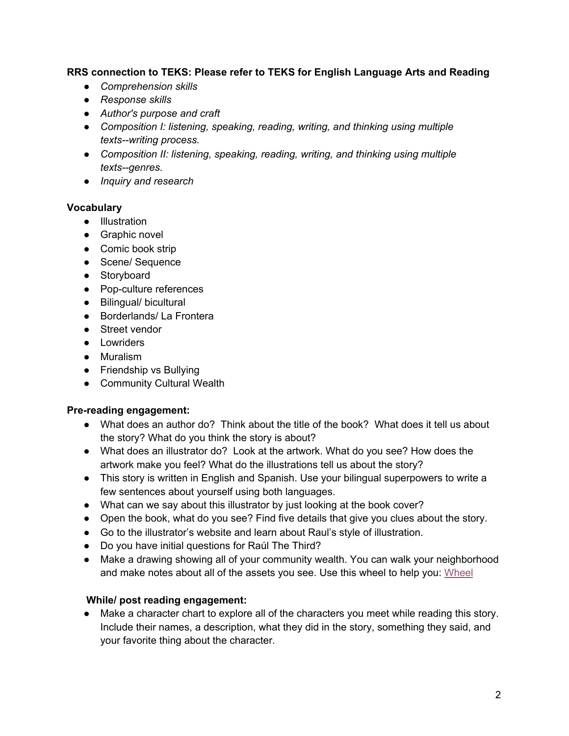### **RRS connection to TEKS: Please refer to TEKS for English Language Arts and Reading**

- *● Comprehension skills*
- *● Response skills*
- *● Author's purpose and craft*
- *● Composition I: listening, speaking, reading, writing, and thinking using multiple texts--writing process.*
- *● Composition II: listening, speaking, reading, writing, and thinking using multiple texts--genres.*
- *● Inquiry and research*

#### **Vocabulary**

- Illustration
- Graphic novel
- Comic book strip
- Scene/ Sequence
- Storyboard
- Pop-culture references
- Bilingual/ bicultural
- Borderlands/ La Frontera
- Street vendor
- Lowriders
- Muralism
- Friendship vs Bullying
- Community Cultural Wealth

#### **Pre-reading engagement:**

- What does an author do? Think about the title of the book? What does it tell us about the story? What do you think the story is about?
- What does an illustrator do? Look at the artwork. What do you see? How does the artwork make you feel? What do the illustrations tell us about the story?
- This story is written in English and Spanish. Use your bilingual superpowers to write a few sentences about yourself using both languages.
- What can we say about this illustrator by just looking at the book cover?
- Open the book, what do you see? Find five details that give you clues about the story.
- Go to the illustrator's website and learn about Raul's style of illustration.
- Do you have initial questions for Raúl The Third?
- Make a drawing showing all of your community wealth. You can walk your neighborhood and make notes about all of the assets you see. Use this wheel to help you: [Wheel](https://students.otc.edu/media/uploads/sites/24/2017/08/Cultural-Wealth.pdf)

## **While/ post reading engagement:**

● Make a character chart to explore all of the characters you meet while reading this story. Include their names, a description, what they did in the story, something they said, and your favorite thing about the character.